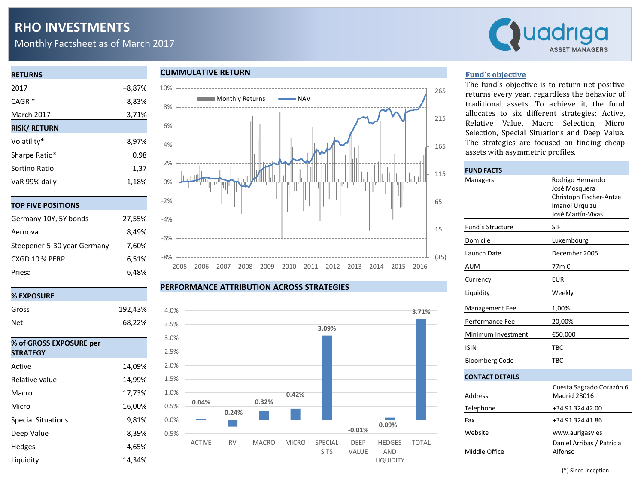# **RHO INVESTMENTS**

Monthly Factsheet as of March 2017



## **RETURNS** 2017 +8,87% CAGR \* 8,83% March 2017 +3,71% **RISK/ RETURN** Volatility\* 8,97% Sharpe Ratio<sup>\*</sup> 0,98 Sortino Ratio 1,37 VaR 99% daily 1,18%

|  | TOP FIVE POSITIONS |
|--|--------------------|

| Germany 10Y, 5Y bonds       | $-27,55%$ |
|-----------------------------|-----------|
| Aernova                     | 8.49%     |
| Steepener 5-30 year Germany | 7,60%     |
| CXGD 10 % PERP              | 6,51%     |
| Priesa                      | 6.48%     |

### **% EXPOSURE**

| Gross                                      | 192,43% |
|--------------------------------------------|---------|
| Net                                        | 68,22%  |
|                                            |         |
| % of GROSS EXPOSURE per<br><b>STRATEGY</b> |         |
| Active                                     | 14,09%  |
| Relative value                             | 14,99%  |
| Macro                                      | 17,73%  |
| Micro                                      | 16,00%  |
| <b>Special Situations</b>                  | 9,81%   |
| Deep Value                                 | 8,39%   |
| Hedges                                     | 4,65%   |
| Liquidity                                  | 14,34%  |

### **CUMMULATIVE RETURN**



#### **PERFORMANCE ATTRIBUTION ACROSS STRATEGIES**



### **Fund´s objective**

The fund´s objective is to return net positive returns every year, regardless the behavior of traditional assets. To achieve it, the fund allocates to six different strategies: Active, Relative Value, Macro Selection, Micro Selection, Special Situations and Deep Value. The strategies are focused on finding cheap assets with asymmetric profiles.

| <b>FUND FACTS</b>      |                                                                                                            |  |  |  |  |
|------------------------|------------------------------------------------------------------------------------------------------------|--|--|--|--|
| Managers               | Rodrigo Hernando<br>José Mosquera<br>Christoph Fischer-Antze<br><b>Imanol Urquizu</b><br>José Martín-Vivas |  |  |  |  |
| Fund's Structure       | SIF                                                                                                        |  |  |  |  |
| Domicile               | Luxembourg                                                                                                 |  |  |  |  |
| Launch Date            | December 2005                                                                                              |  |  |  |  |
| <b>AUM</b>             | 77m €                                                                                                      |  |  |  |  |
| Currency               | EUR                                                                                                        |  |  |  |  |
| Liquidity              | Weekly                                                                                                     |  |  |  |  |
| Management Fee         | 1,00%                                                                                                      |  |  |  |  |
| Performance Fee        | 20,00%                                                                                                     |  |  |  |  |
| Minimum Investment     | €50,000                                                                                                    |  |  |  |  |
| <b>ISIN</b>            | <b>TBC</b>                                                                                                 |  |  |  |  |
| <b>Bloomberg Code</b>  | <b>TBC</b>                                                                                                 |  |  |  |  |
| <b>CONTACT DETAILS</b> |                                                                                                            |  |  |  |  |
| Address                | Cuesta Sagrado Corazón 6.<br><b>Madrid 28016</b>                                                           |  |  |  |  |
| Telephone              | +34 91 324 42 00                                                                                           |  |  |  |  |
| Fax                    | +34 91 324 41 86                                                                                           |  |  |  |  |
| Website                | www.aurigasv.es                                                                                            |  |  |  |  |
| Middle Office          | Daniel Arribas / Patricia<br>Alfonso                                                                       |  |  |  |  |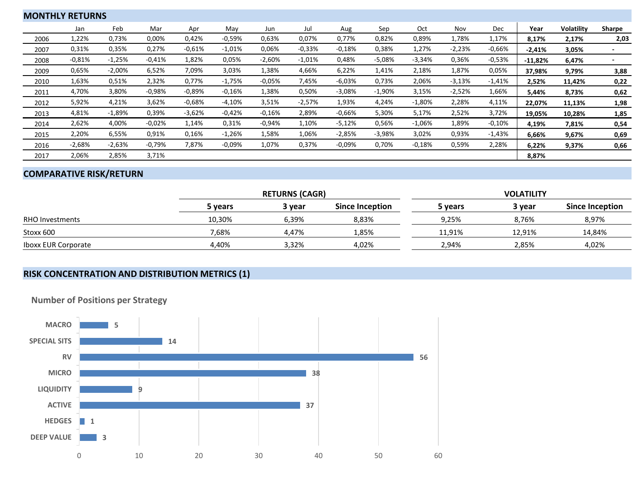|      | <b>MONTHLY RETURNS</b> |          |          |          |          |          |          |          |          |          |          |          |           |                   |        |
|------|------------------------|----------|----------|----------|----------|----------|----------|----------|----------|----------|----------|----------|-----------|-------------------|--------|
|      | Jan                    | Feb      | Mar      | Apr      | May      | Jun      | Jul      | Aug      | Sep      | Oct      | Nov      | Dec      | Year      | <b>Volatility</b> | Sharpe |
| 2006 | 1,22%                  | 0,73%    | 0,00%    | 0,42%    | $-0,59%$ | 0,63%    | 0,07%    | 0,77%    | 0,82%    | 0,89%    | 1,78%    | 1,17%    | 8,17%     | 2,17%             | 2,03   |
| 2007 | 0,31%                  | 0,35%    | 0,27%    | $-0,61%$ | $-1,01%$ | 0,06%    | $-0,33%$ | $-0.18%$ | 0,38%    | 1,27%    | $-2,23%$ | $-0,66%$ | $-2,41%$  | 3,05%             |        |
| 2008 | $-0,81%$               | $-1,25%$ | $-0.41%$ | 1,82%    | 0,05%    | $-2,60%$ | $-1,01%$ | 0,48%    | $-5,08%$ | $-3,34%$ | 0,36%    | $-0,53%$ | $-11,82%$ | 6,47%             |        |
| 2009 | 0,65%                  | $-2,00%$ | 6,52%    | 7,09%    | 3,03%    | 1,38%    | 4,66%    | 6,22%    | 1,41%    | 2,18%    | 1,87%    | 0,05%    | 37,98%    | 9,79%             | 3,88   |
| 2010 | 1,63%                  | 0,51%    | 2,32%    | 0,77%    | $-1,75%$ | $-0.05%$ | 7,45%    | $-6,03%$ | 0,73%    | 2,06%    | $-3,13%$ | $-1,41%$ | 2,52%     | 11,42%            | 0,22   |
| 2011 | 4,70%                  | 3,80%    | $-0.98%$ | $-0.89%$ | $-0.16%$ | 1,38%    | 0,50%    | $-3,08%$ | $-1,90%$ | 3,15%    | $-2,52%$ | 1,66%    | 5,44%     | 8,73%             | 0,62   |
| 2012 | 5,92%                  | 4,21%    | 3,62%    | $-0.68%$ | $-4,10%$ | 3,51%    | $-2,57%$ | 1,93%    | 4,24%    | $-1,80%$ | 2,28%    | 4,11%    | 22,07%    | 11,13%            | 1,98   |
| 2013 | 4,81%                  | $-1,89%$ | 0,39%    | $-3,62%$ | $-0.42%$ | $-0.16%$ | 2,89%    | $-0.66%$ | 5,30%    | 5,17%    | 2,52%    | 3,72%    | 19,05%    | 10,28%            | 1,85   |
| 2014 | 2,62%                  | 4,00%    | $-0.02%$ | 1,14%    | 0,31%    | $-0.94%$ | 1,10%    | $-5,12%$ | 0,56%    | $-1,06%$ | 1,89%    | $-0,10%$ | 4,19%     | 7,81%             | 0,54   |
| 2015 | 2,20%                  | 6,55%    | 0,91%    | 0,16%    | $-1,26%$ | 1,58%    | 1,06%    | $-2,85%$ | $-3,98%$ | 3,02%    | 0,93%    | $-1,43%$ | 6,66%     | 9,67%             | 0,69   |
| 2016 | $-2,68%$               | $-2,63%$ | $-0,79%$ | 7,87%    | $-0.09%$ | 1,07%    | 0,37%    | $-0.09%$ | 0,70%    | $-0,18%$ | 0,59%    | 2,28%    | 6,22%     | 9,37%             | 0,66   |
| 2017 | 2,06%                  | 2,85%    | 3,71%    |          |          |          |          |          |          |          |          |          | 8,87%     |                   |        |

### **COMPARATIVE RISK/RETURN**

|                            |         | <b>RETURNS (CAGR)</b> |                 | <b>VOLATILITY</b> |        |                        |  |  |
|----------------------------|---------|-----------------------|-----------------|-------------------|--------|------------------------|--|--|
|                            | 5 years | 3 vear                | Since Inception | 5 years           | 3 year | <b>Since Inception</b> |  |  |
| <b>RHO Investments</b>     | 10.30%  | 6.39%                 | 8.83%           | 9.25%             | 8,76%  | 8,97%                  |  |  |
| Stoxx 600                  | 7,68%   | 4.47%                 | 1,85%           | 11.91%            | 12.91% | 14,84%                 |  |  |
| <b>Iboxx EUR Corporate</b> | 4.40%   | 3,32%                 | 4,02%           | 2.94%             | 2,85%  | 4,02%                  |  |  |

### **RISK CONCENTRATION AND DISTRIBUTION METRICS (1)**



**Number of Positions per Strategy**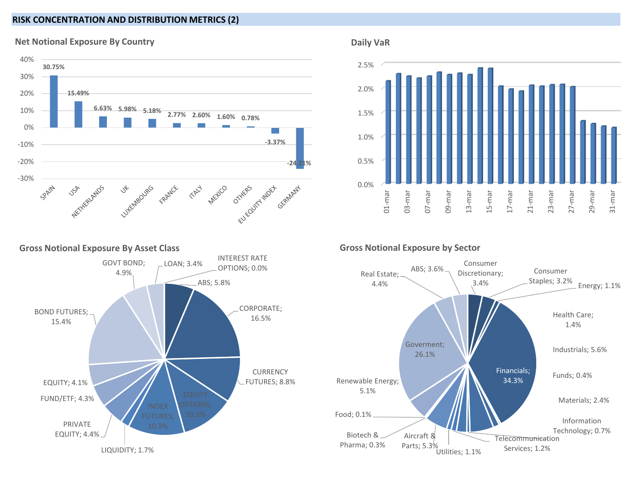### **RISK CONCENTRATION AND DISTRIBUTION METRICS (2)**

**Net Notional Exposure By Country**





**Daily VaR** 



**Gross Notional Exposure by Sector**



**Gross Notional Exposure By Asset Class**

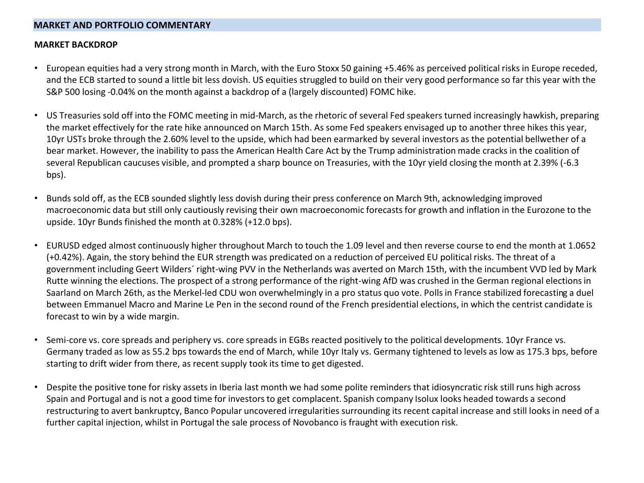### **MARKET AND PORTFOLIO COMMENTARY**

### **MARKET BACKDROP**

- European equities had a very strong month in March, with the Euro Stoxx 50 gaining +5.46% as perceived political risks in Europe receded, and the ECB started to sound a little bit less dovish. US equities struggled to build on their very good performance so far this year with the S&P 500 losing -0.04% on the month against a backdrop of a (largely discounted) FOMC hike.
- US Treasuries sold off into the FOMC meeting in mid-March, as the rhetoric of several Fed speakers turned increasingly hawkish, preparing the market effectively for the rate hike announced on March 15th. As some Fed speakers envisaged up to another three hikes this year, 10yr USTs broke through the 2.60% level to the upside, which had been earmarked by several investors as the potential bellwether of a bear market. However, the inability to pass the American Health Care Act by the Trump administration made cracks in the coalition of several Republican caucuses visible, and prompted a sharp bounce on Treasuries, with the 10yr yield closing the month at 2.39% (-6.3 bps).
- Bunds sold off, as the ECB sounded slightly less dovish during their press conference on March 9th, acknowledging improved macroeconomic data but still only cautiously revising their own macroeconomic forecasts for growth and inflation in the Eurozone to the upside. 10yr Bunds finished the month at 0.328% (+12.0 bps).
- EURUSD edged almost continuously higher throughout March to touch the 1.09 level and then reverse course to end the month at 1.0652 (+0.42%). Again, the story behind the EUR strength was predicated on a reduction of perceived EU political risks. The threat of a government including Geert Wilders´ right-wing PVV in the Netherlands was averted on March 15th, with the incumbent VVD led by Mark Rutte winning the elections. The prospect of a strong performance of the right-wing AfD was crushed in the German regional elections in Saarland on March 26th, as the Merkel-led CDU won overwhelmingly in a pro status quo vote. Polls in France stabilized forecasting a duel between Emmanuel Macro and Marine Le Pen in the second round of the French presidential elections, in which the centrist candidate is forecast to win by a wide margin.
- Semi-core vs. core spreads and periphery vs. core spreads in EGBs reacted positively to the political developments. 10yr France vs. Germany traded as low as 55.2 bps towards the end of March, while 10yr Italy vs. Germany tightened to levels as low as 175.3 bps, before starting to drift wider from there, as recent supply took its time to get digested.
- Despite the positive tone for risky assets in Iberia last month we had some polite reminders that idiosyncratic risk still runs high across Spain and Portugal and is not a good time for investors to get complacent. Spanish company Isolux looks headed towards a second restructuring to avert bankruptcy, Banco Popular uncovered irregularities surrounding its recent capital increase and still looks in need of a further capital injection, whilst in Portugal the sale process of Novobanco is fraught with execution risk.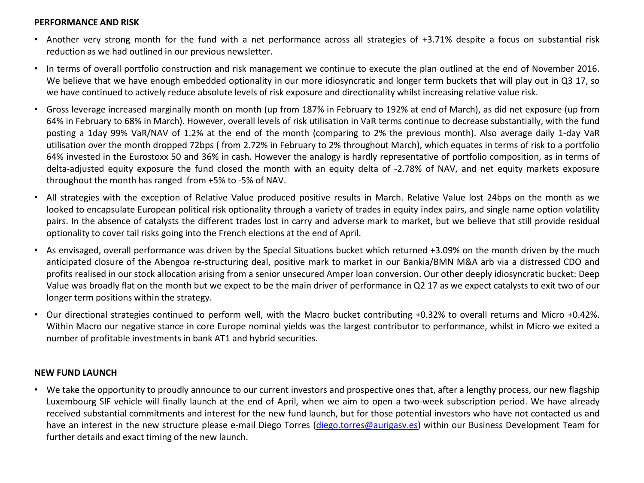### **PERFORMANCE AND RISK**

- Another very strong month for the fund with a net performance across all strategies of +3.71% despite a focus on substantial risk reduction as we had outlined in our previous newsletter.
- In terms of overall portfolio construction and risk management we continue to execute the plan outlined at the end of November 2016. We believe that we have enough embedded optionality in our more idiosyncratic and longer term buckets that will play out in Q3 17, so we have continued to actively reduce absolute levels of risk exposure and directionality whilst increasing relative value risk.
- Gross leverage increased marginally month on month (up from 187% in February to 192% at end of March), as did net exposure (up from 64% in February to 68% in March). However, overall levels of risk utilisation in VaR terms continue to decrease substantially, with the fund posting a 1day 99% VaR/NAV of 1.2% at the end of the month (comparing to 2% the previous month). Also average daily 1-day VaR utilisation over the month dropped 72bps ( from 2.72% in February to 2% throughout March), which equates in terms of risk to a portfolio 64% invested in the Eurostoxx 50 and 36% in cash. However the analogy is hardly representative of portfolio composition, as in terms of delta-adjusted equity exposure the fund closed the month with an equity delta of -2.78% of NAV, and net equity markets exposure throughout the month has ranged from +5% to -5% of NAV.
- All strategies with the exception of Relative Value produced positive results in March. Relative Value lost 24bps on the month as we looked to encapsulate European political risk optionality through a variety of trades in equity index pairs, and single name option volatility pairs. In the absence of catalysts the different trades lost in carry and adverse mark to market, but we believe that still provide residual optionality to cover tail risks going into the French elections at the end of April.
- As envisaged, overall performance was driven by the Special Situations bucket which returned +3.09% on the month driven by the much anticipated closure of the Abengoa re-structuring deal, positive mark to market in our Bankia/BMN M&A arb via a distressed CDO and profits realised in our stock allocation arising from a senior unsecured Amper loan conversion. Our other deeply idiosyncratic bucket: Deep Value was broadly flat on the month but we expect to be the main driver of performance in Q2 17 as we expect catalysts to exit two of our longer term positions within the strategy.
- Our directional strategies continued to perform well, with the Macro bucket contributing +0.32% to overall returns and Micro +0.42%. Within Macro our negative stance in core Europe nominal yields was the largest contributor to performance, whilst in Micro we exited a number of profitable investmentsin bank AT1 and hybrid securities.

### **NEW FUND LAUNCH**

• We take the opportunity to proudly announce to our current investors and prospective ones that, after a lengthy process, our new flagship Luxembourg SIF vehicle will finally launch at the end of April, when we aim to open a two-week subscription period. We have already received substantial commitments and interest for the new fund launch, but for those potential investors who have not contacted us and have an interest in the new structure please e-mail Diego Torres [\(diego.torres@aurigasv.es](mailto:diego.torres@aurigasv.es)) within our Business Development Team for further details and exact timing of the new launch.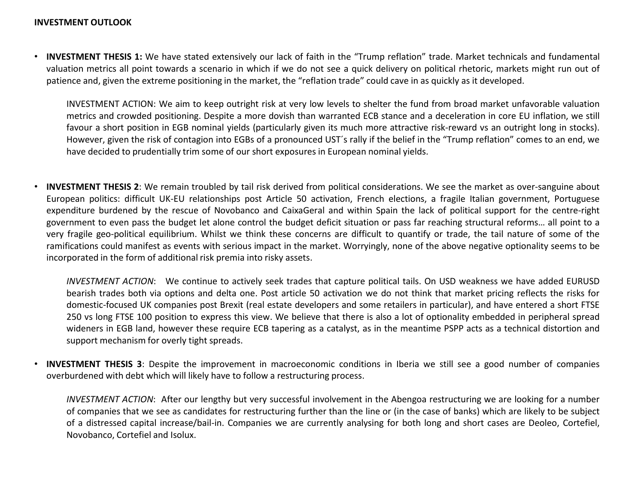• **INVESTMENT THESIS 1:** We have stated extensively our lack of faith in the "Trump reflation" trade. Market technicals and fundamental valuation metrics all point towards a scenario in which if we do not see a quick delivery on political rhetoric, markets might run out of patience and, given the extreme positioning in the market, the "reflation trade" could cave in as quickly as it developed.

INVESTMENT ACTION: We aim to keep outright risk at very low levels to shelter the fund from broad market unfavorable valuation metrics and crowded positioning. Despite a more dovish than warranted ECB stance and a deceleration in core EU inflation, we still favour a short position in EGB nominal yields (particularly given its much more attractive risk-reward vs an outright long in stocks). However, given the risk of contagion into EGBs of a pronounced UST´s rally if the belief in the "Trump reflation" comes to an end, we have decided to prudentially trim some of our short exposures in European nominal yields.

• **INVESTMENT THESIS 2**: We remain troubled by tail risk derived from political considerations. We see the market as over-sanguine about European politics: difficult UK-EU relationships post Article 50 activation, French elections, a fragile Italian government, Portuguese expenditure burdened by the rescue of Novobanco and CaixaGeral and within Spain the lack of political support for the centre-right government to even pass the budget let alone control the budget deficit situation or pass far reaching structural reforms… all point to a very fragile geo-political equilibrium. Whilst we think these concerns are difficult to quantify or trade, the tail nature of some of the ramifications could manifest as events with serious impact in the market. Worryingly, none of the above negative optionality seems to be incorporated in the form of additional risk premia into risky assets.

*INVESTMENT ACTION*: We continue to actively seek trades that capture political tails. On USD weakness we have added EURUSD bearish trades both via options and delta one. Post article 50 activation we do not think that market pricing reflects the risks for domestic-focused UK companies post Brexit (real estate developers and some retailers in particular), and have entered a short FTSE 250 vs long FTSE 100 position to express this view. We believe that there is also a lot of optionality embedded in peripheral spread wideners in EGB land, however these require ECB tapering as a catalyst, as in the meantime PSPP acts as a technical distortion and support mechanism for overly tight spreads.

• **INVESTMENT THESIS 3**: Despite the improvement in macroeconomic conditions in Iberia we still see a good number of companies overburdened with debt which will likely have to follow a restructuring process.

*INVESTMENT ACTION*: After our lengthy but very successful involvement in the Abengoa restructuring we are looking for a number of companies that we see as candidates for restructuring further than the line or (in the case of banks) which are likely to be subject of a distressed capital increase/bail-in. Companies we are currently analysing for both long and short cases are Deoleo, Cortefiel, Novobanco, Cortefiel and Isolux.